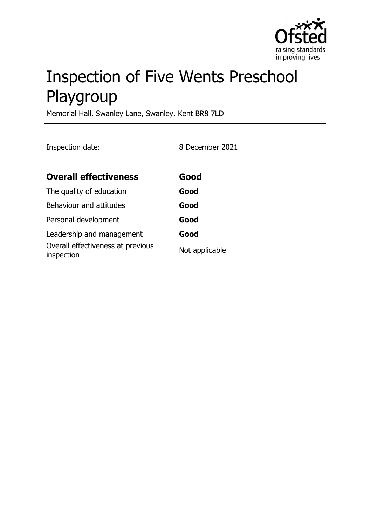

# Inspection of Five Wents Preschool Playgroup

Memorial Hall, Swanley Lane, Swanley, Kent BR8 7LD

Inspection date: 8 December 2021

| <b>Overall effectiveness</b>                    | Good           |
|-------------------------------------------------|----------------|
| The quality of education                        | Good           |
| Behaviour and attitudes                         | Good           |
| Personal development                            | Good           |
| Leadership and management                       | Good           |
| Overall effectiveness at previous<br>inspection | Not applicable |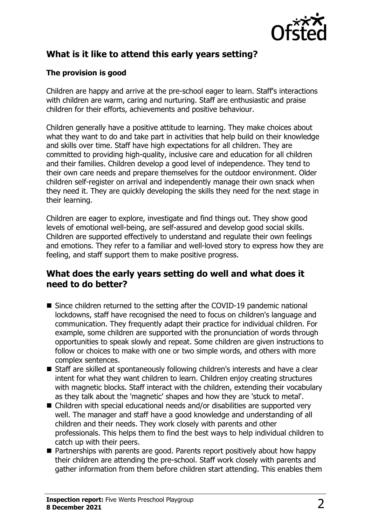

# **What is it like to attend this early years setting?**

## **The provision is good**

Children are happy and arrive at the pre-school eager to learn. Staff's interactions with children are warm, caring and nurturing. Staff are enthusiastic and praise children for their efforts, achievements and positive behaviour.

Children generally have a positive attitude to learning. They make choices about what they want to do and take part in activities that help build on their knowledge and skills over time. Staff have high expectations for all children. They are committed to providing high-quality, inclusive care and education for all children and their families. Children develop a good level of independence. They tend to their own care needs and prepare themselves for the outdoor environment. Older children self-register on arrival and independently manage their own snack when they need it. They are quickly developing the skills they need for the next stage in their learning.

Children are eager to explore, investigate and find things out. They show good levels of emotional well-being, are self-assured and develop good social skills. Children are supported effectively to understand and regulate their own feelings and emotions. They refer to a familiar and well-loved story to express how they are feeling, and staff support them to make positive progress.

## **What does the early years setting do well and what does it need to do better?**

- $\blacksquare$  Since children returned to the setting after the COVID-19 pandemic national lockdowns, staff have recognised the need to focus on children's language and communication. They frequently adapt their practice for individual children. For example, some children are supported with the pronunciation of words through opportunities to speak slowly and repeat. Some children are given instructions to follow or choices to make with one or two simple words, and others with more complex sentences.
- $\blacksquare$  Staff are skilled at spontaneously following children's interests and have a clear intent for what they want children to learn. Children enjoy creating structures with magnetic blocks. Staff interact with the children, extending their vocabulary as they talk about the 'magnetic' shapes and how they are 'stuck to metal'.
- $\blacksquare$  Children with special educational needs and/or disabilities are supported very well. The manager and staff have a good knowledge and understanding of all children and their needs. They work closely with parents and other professionals. This helps them to find the best ways to help individual children to catch up with their peers.
- $\blacksquare$  Partnerships with parents are good. Parents report positively about how happy their children are attending the pre-school. Staff work closely with parents and gather information from them before children start attending. This enables them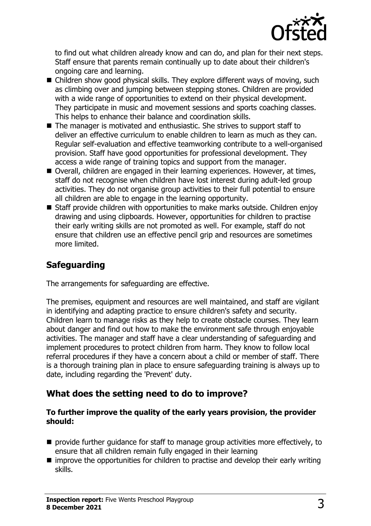

to find out what children already know and can do, and plan for their next steps. Staff ensure that parents remain continually up to date about their children's ongoing care and learning.

- $\blacksquare$  Children show good physical skills. They explore different ways of moving, such as climbing over and jumping between stepping stones. Children are provided with a wide range of opportunities to extend on their physical development. They participate in music and movement sessions and sports coaching classes. This helps to enhance their balance and coordination skills.
- $\blacksquare$  The manager is motivated and enthusiastic. She strives to support staff to deliver an effective curriculum to enable children to learn as much as they can. Regular self-evaluation and effective teamworking contribute to a well-organised provision. Staff have good opportunities for professional development. They access a wide range of training topics and support from the manager.
- Overall, children are engaged in their learning experiences. However, at times, staff do not recognise when children have lost interest during adult-led group activities. They do not organise group activities to their full potential to ensure all children are able to engage in the learning opportunity.
- $\blacksquare$  Staff provide children with opportunities to make marks outside. Children enjoy drawing and using clipboards. However, opportunities for children to practise their early writing skills are not promoted as well. For example, staff do not ensure that children use an effective pencil grip and resources are sometimes more limited.

# **Safeguarding**

The arrangements for safeguarding are effective.

The premises, equipment and resources are well maintained, and staff are vigilant in identifying and adapting practice to ensure children's safety and security. Children learn to manage risks as they help to create obstacle courses. They learn about danger and find out how to make the environment safe through enjoyable activities. The manager and staff have a clear understanding of safeguarding and implement procedures to protect children from harm. They know to follow local referral procedures if they have a concern about a child or member of staff. There is a thorough training plan in place to ensure safeguarding training is always up to date, including regarding the 'Prevent' duty.

## **What does the setting need to do to improve?**

#### **To further improve the quality of the early years provision, the provider should:**

- $\blacksquare$  provide further quidance for staff to manage group activities more effectively, to ensure that all children remain fully engaged in their learning
- $\blacksquare$  improve the opportunities for children to practise and develop their early writing skills.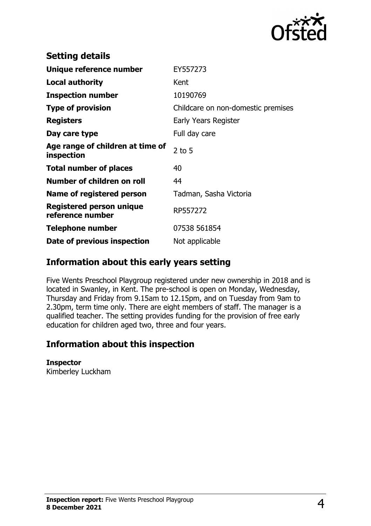

| <b>Setting details</b>                              |                                    |
|-----------------------------------------------------|------------------------------------|
| Unique reference number                             | EY557273                           |
| <b>Local authority</b>                              | Kent                               |
| <b>Inspection number</b>                            | 10190769                           |
| <b>Type of provision</b>                            | Childcare on non-domestic premises |
| <b>Registers</b>                                    | Early Years Register               |
| Day care type                                       | Full day care                      |
| Age range of children at time of<br>inspection      | $2$ to 5                           |
| <b>Total number of places</b>                       | 40                                 |
| Number of children on roll                          | 44                                 |
| Name of registered person                           | Tadman, Sasha Victoria             |
| <b>Registered person unique</b><br>reference number | RP557272                           |
| <b>Telephone number</b>                             | 07538 561854                       |
| Date of previous inspection                         | Not applicable                     |

## **Information about this early years setting**

Five Wents Preschool Playgroup registered under new ownership in 2018 and is located in Swanley, in Kent. The pre-school is open on Monday, Wednesday, Thursday and Friday from 9.15am to 12.15pm, and on Tuesday from 9am to 2.30pm, term time only. There are eight members of staff. The manager is a qualified teacher. The setting provides funding for the provision of free early education for children aged two, three and four years.

## **Information about this inspection**

#### **Inspector**

Kimberley Luckham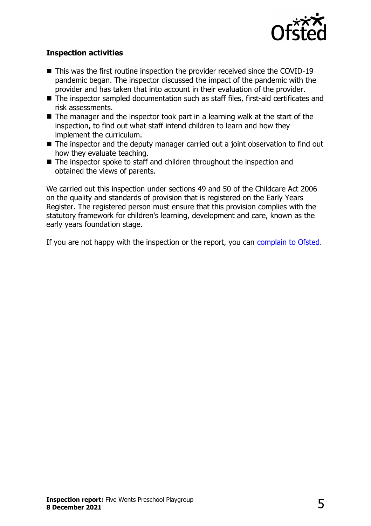

### **Inspection activities**

- $\blacksquare$  This was the first routine inspection the provider received since the COVID-19 pandemic began. The inspector discussed the impact of the pandemic with the provider and has taken that into account in their evaluation of the provider.
- $\blacksquare$  The inspector sampled documentation such as staff files, first-aid certificates and risk assessments.
- $\blacksquare$  The manager and the inspector took part in a learning walk at the start of the inspection, to find out what staff intend children to learn and how they implement the curriculum.
- $\blacksquare$  The inspector and the deputy manager carried out a joint observation to find out how they evaluate teaching.
- $\blacksquare$  The inspector spoke to staff and children throughout the inspection and obtained the views of parents.

We carried out this inspection under sections 49 and 50 of the Childcare Act 2006 on the quality and standards of provision that is registered on the Early Years Register. The registered person must ensure that this provision complies with the statutory framework for children's learning, development and care, known as the early years foundation stage.

If you are not happy with the inspection or the report, you can [complain to Ofsted](http://www.gov.uk/complain-ofsted-report).